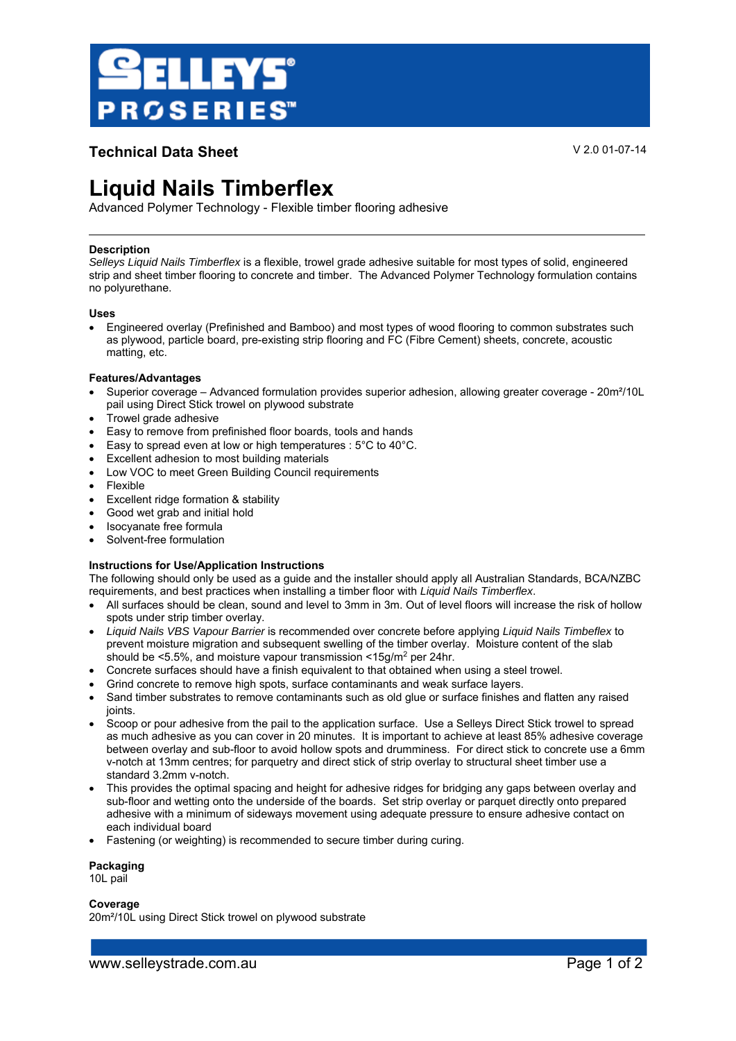

### **Technical Data Sheet** V 2.0 01-07-14

## **Liquid Nails Timberflex**

Advanced Polymer Technology - Flexible timber flooring adhesive

### **Description**

*Selleys Liquid Nails Timberflex* is a flexible, trowel grade adhesive suitable for most types of solid, engineered strip and sheet timber flooring to concrete and timber. The Advanced Polymer Technology formulation contains no polyurethane.

### **Uses**

 Engineered overlay (Prefinished and Bamboo) and most types of wood flooring to common substrates such as plywood, particle board, pre-existing strip flooring and FC (Fibre Cement) sheets, concrete, acoustic matting, etc.

### **Features/Advantages**

- Superior coverage Advanced formulation provides superior adhesion, allowing greater coverage 20m²/10L pail using Direct Stick trowel on plywood substrate
- Trowel grade adhesive
- Easy to remove from prefinished floor boards, tools and hands
- Easy to spread even at low or high temperatures : 5°C to 40°C.
- Excellent adhesion to most building materials
- Low VOC to meet Green Building Council requirements
- Flexible
- Excellent ridge formation & stability
- Good wet grab and initial hold
- Isocyanate free formula
- Solvent-free formulation

### **Instructions for Use/Application Instructions**

The following should only be used as a guide and the installer should apply all Australian Standards, BCA/NZBC requirements, and best practices when installing a timber floor with *Liquid Nails Timberflex*.

- All surfaces should be clean, sound and level to 3mm in 3m. Out of level floors will increase the risk of hollow spots under strip timber overlay.
- *Liquid Nails VBS Vapour Barrier* is recommended over concrete before applying *Liquid Nails Timbeflex* to prevent moisture migration and subsequent swelling of the timber overlay. Moisture content of the slab should be <5.5%, and moisture vapour transmission <15g/m2 per 24hr.
- Concrete surfaces should have a finish equivalent to that obtained when using a steel trowel.
- Grind concrete to remove high spots, surface contaminants and weak surface layers.
- Sand timber substrates to remove contaminants such as old glue or surface finishes and flatten any raised joints.
- Scoop or pour adhesive from the pail to the application surface. Use a Selleys Direct Stick trowel to spread as much adhesive as you can cover in 20 minutes.It is important to achieve at least 85% adhesive coverage between overlay and sub-floor to avoid hollow spots and drumminess. For direct stick to concrete use a 6mm v-notch at 13mm centres; for parquetry and direct stick of strip overlay to structural sheet timber use a standard 3.2mm v-notch.
- This provides the optimal spacing and height for adhesive ridges for bridging any gaps between overlay and sub-floor and wetting onto the underside of the boards. Set strip overlay or parquet directly onto prepared adhesive with a minimum of sideways movement using adequate pressure to ensure adhesive contact on each individual board
- Fastening (or weighting) is recommended to secure timber during curing.

### **Packaging**

10L pail

### **Coverage**

20m²/10L using Direct Stick trowel on plywood substrate